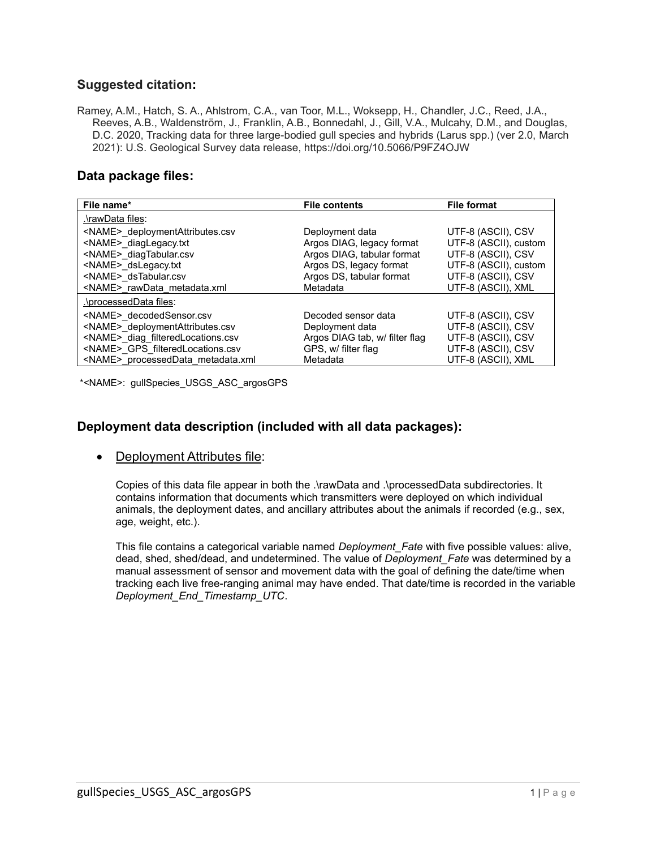#### **Suggested citation:**

Ramey, A.M., Hatch, S. A., Ahlstrom, C.A., van Toor, M.L., Woksepp, H., Chandler, J.C., Reed, J.A., Reeves, A.B., Waldenström, J., Franklin, A.B., Bonnedahl, J., Gill, V.A., Mulcahy, D.M., and Douglas, D.C. 2020, Tracking data for three large-bodied gull species and hybrids (Larus spp.) (ver 2.0, March 2021): U.S. Geological Survey data release, https://doi.org/10.5066/P9FZ4OJW

#### **Data package files:**

| File name*                                                                                                                                                               | <b>File contents</b>                                                                                                              | <b>File format</b>                                                                                               |
|--------------------------------------------------------------------------------------------------------------------------------------------------------------------------|-----------------------------------------------------------------------------------------------------------------------------------|------------------------------------------------------------------------------------------------------------------|
| .\rawData files:                                                                                                                                                         |                                                                                                                                   |                                                                                                                  |
| <name> deploymentAttributes.csv<br/><name> diagLegacy.txt<br/><name> diagTabular.csv<br/><name> dsLegacy.txt<br/><name> dsTabular.csv</name></name></name></name></name> | Deployment data<br>Argos DIAG, legacy format<br>Argos DIAG, tabular format<br>Argos DS, legacy format<br>Argos DS, tabular format | UTF-8 (ASCII), CSV<br>UTF-8 (ASCII), custom<br>UTF-8 (ASCII), CSV<br>UTF-8 (ASCII), custom<br>UTF-8 (ASCII), CSV |
| <name> rawData metadata.xml</name>                                                                                                                                       | Metadata                                                                                                                          | UTF-8 (ASCII), XML                                                                                               |
| .\processedData files:                                                                                                                                                   |                                                                                                                                   |                                                                                                                  |
| <name> decodedSensor.csv<br/><name> deploymentAttributes.csv<br/><name> diag filteredLocations.csv</name></name></name>                                                  | Decoded sensor data<br>Deployment data<br>Argos DIAG tab, w/ filter flag                                                          | UTF-8 (ASCII), CSV<br>UTF-8 (ASCII), CSV<br>UTF-8 (ASCII), CSV                                                   |
| <name> GPS filteredLocations.csv<br/><name> processedData metadata.xml</name></name>                                                                                     | GPS, w/ filter flag<br>Metadata                                                                                                   | UTF-8 (ASCII), CSV<br>UTF-8 (ASCII), XML                                                                         |

\*<NAME>: gullSpecies\_USGS\_ASC\_argosGPS

### **Deployment data description (included with all data packages):**

• Deployment Attributes file:

Copies of this data file appear in both the .\rawData and .\processedData subdirectories. It contains information that documents which transmitters were deployed on which individual animals, the deployment dates, and ancillary attributes about the animals if recorded (e.g., sex, age, weight, etc.).

This file contains a categorical variable named *Deployment\_Fate* with five possible values: alive, dead, shed, shed/dead, and undetermined. The value of *Deployment\_Fate* was determined by a manual assessment of sensor and movement data with the goal of defining the date/time when tracking each live free-ranging animal may have ended. That date/time is recorded in the variable *Deployment\_End\_Timestamp\_UTC*.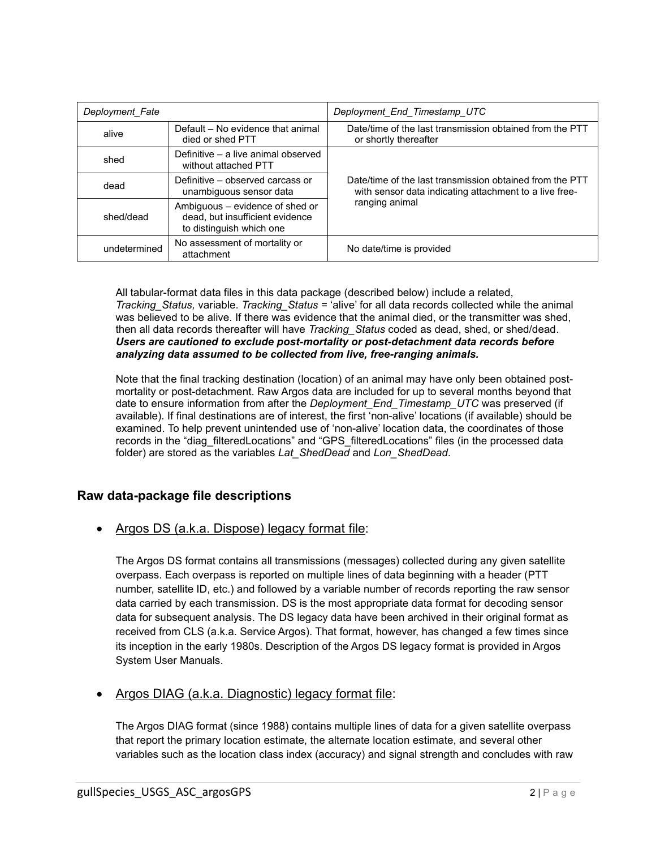| Deployment_Fate |                                                                                                | Deployment_End_Timestamp_UTC                                                                                                         |  |
|-----------------|------------------------------------------------------------------------------------------------|--------------------------------------------------------------------------------------------------------------------------------------|--|
| alive           | Default - No evidence that animal<br>died or shed PTT                                          | Date/time of the last transmission obtained from the PTT<br>or shortly thereafter                                                    |  |
| shed            | Definitive - a live animal observed<br>without attached PTT                                    |                                                                                                                                      |  |
| dead            | Definitive – observed carcass or<br>unambiguous sensor data                                    | Date/time of the last transmission obtained from the PTT<br>with sensor data indicating attachment to a live free-<br>ranging animal |  |
| shed/dead       | Ambiguous - evidence of shed or<br>dead, but insufficient evidence<br>to distinguish which one |                                                                                                                                      |  |
| undetermined    | No assessment of mortality or<br>attachment                                                    | No date/time is provided                                                                                                             |  |

All tabular-format data files in this data package (described below) include a related, *Tracking\_Status,* variable. *Tracking\_Status* = 'alive' for all data records collected while the animal was believed to be alive. If there was evidence that the animal died, or the transmitter was shed, then all data records thereafter will have *Tracking\_Status* coded as dead, shed, or shed/dead. *Users are cautioned to exclude post-mortality or post-detachment data records before analyzing data assumed to be collected from live, free-ranging animals.*

Note that the final tracking destination (location) of an animal may have only been obtained postmortality or post-detachment. Raw Argos data are included for up to several months beyond that date to ensure information from after the *Deployment\_End\_Timestamp\_UTC* was preserved (if available). If final destinations are of interest, the first 'non-alive' locations (if available) should be examined. To help prevent unintended use of 'non-alive' location data, the coordinates of those records in the "diag\_filteredLocations" and "GPS\_filteredLocations" files (in the processed data folder) are stored as the variables *Lat\_ShedDead* and *Lon\_ShedDead*.

## **Raw data-package file descriptions**

• Argos DS (a.k.a. Dispose) legacy format file:

The Argos DS format contains all transmissions (messages) collected during any given satellite overpass. Each overpass is reported on multiple lines of data beginning with a header (PTT number, satellite ID, etc.) and followed by a variable number of records reporting the raw sensor data carried by each transmission. DS is the most appropriate data format for decoding sensor data for subsequent analysis. The DS legacy data have been archived in their original format as received from CLS (a.k.a. Service Argos). That format, however, has changed a few times since its inception in the early 1980s. Description of the Argos DS legacy format is provided in Argos System User Manuals.

## • Argos DIAG (a.k.a. Diagnostic) legacy format file:

The Argos DIAG format (since 1988) contains multiple lines of data for a given satellite overpass that report the primary location estimate, the alternate location estimate, and several other variables such as the location class index (accuracy) and signal strength and concludes with raw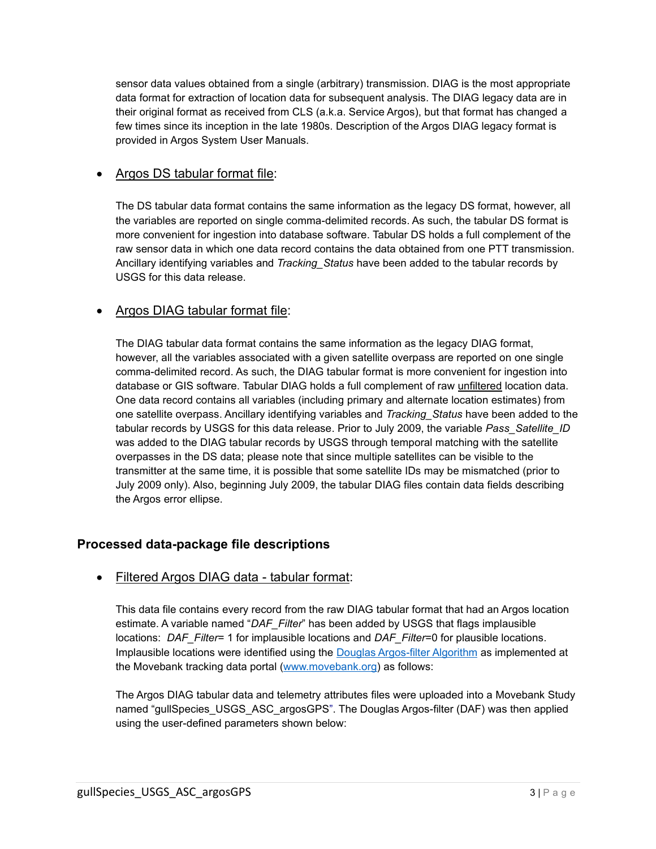sensor data values obtained from a single (arbitrary) transmission. DIAG is the most appropriate data format for extraction of location data for subsequent analysis. The DIAG legacy data are in their original format as received from CLS (a.k.a. Service Argos), but that format has changed a few times since its inception in the late 1980s. Description of the Argos DIAG legacy format is provided in Argos System User Manuals.

## • Argos DS tabular format file:

The DS tabular data format contains the same information as the legacy DS format, however, all the variables are reported on single comma-delimited records. As such, the tabular DS format is more convenient for ingestion into database software. Tabular DS holds a full complement of the raw sensor data in which one data record contains the data obtained from one PTT transmission. Ancillary identifying variables and *Tracking\_Status* have been added to the tabular records by USGS for this data release.

### • Argos DIAG tabular format file:

The DIAG tabular data format contains the same information as the legacy DIAG format, however, all the variables associated with a given satellite overpass are reported on one single comma-delimited record. As such, the DIAG tabular format is more convenient for ingestion into database or GIS software. Tabular DIAG holds a full complement of raw unfiltered location data. One data record contains all variables (including primary and alternate location estimates) from one satellite overpass. Ancillary identifying variables and *Tracking\_Status* have been added to the tabular records by USGS for this data release. Prior to July 2009, the variable *Pass\_Satellite\_ID* was added to the DIAG tabular records by USGS through temporal matching with the satellite overpasses in the DS data; please note that since multiple satellites can be visible to the transmitter at the same time, it is possible that some satellite IDs may be mismatched (prior to July 2009 only). Also, beginning July 2009, the tabular DIAG files contain data fields describing the Argos error ellipse.

## **Processed data-package file descriptions**

### • Filtered Argos DIAG data - tabular format:

This data file contains every record from the raw DIAG tabular format that had an Argos location estimate. A variable named "*DAF\_Filter*" has been added by USGS that flags implausible locations: *DAF\_Filter*= 1 for implausible locations and *DAF\_Filter*=0 for plausible locations. Implausible locations were identified using the [Douglas Argos-filter Algorithm](https://doi.org/10.1111/j.2041-210X.2012.00245.x) as implemented at the Movebank tracking data portal [\(www.movebank.org\)](http://www.movebank.org/) as follows:

The Argos DIAG tabular data and telemetry attributes files were uploaded into a Movebank Study named "gullSpecies\_USGS\_ASC\_argosGPS". The Douglas Argos-filter (DAF) was then applied using the user-defined parameters shown below: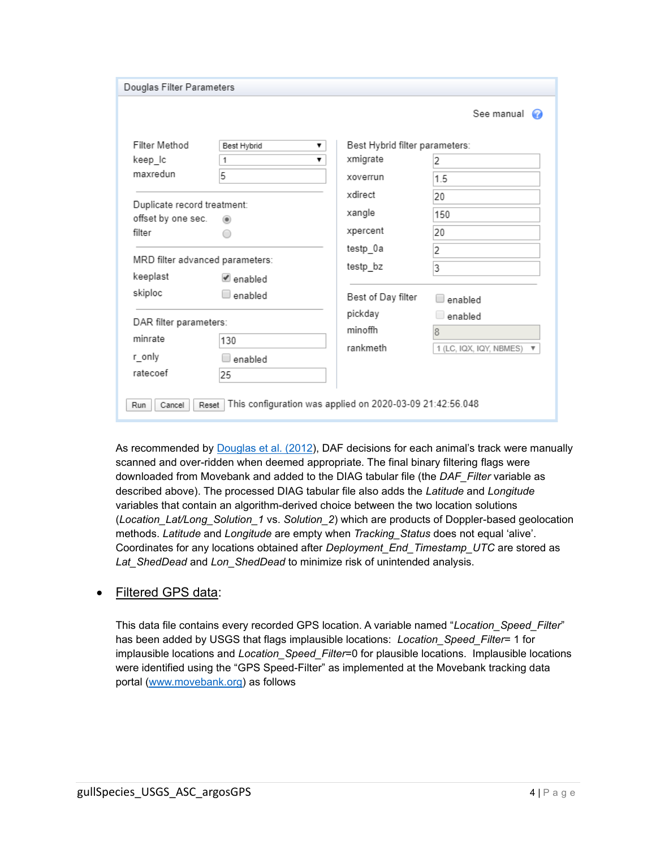| Douglas Filter Parameters                         |                                                                    |                                |                                                      |
|---------------------------------------------------|--------------------------------------------------------------------|--------------------------------|------------------------------------------------------|
|                                                   |                                                                    |                                | See manual $\bigcirc$                                |
| Filter Method                                     | Best Hybrid<br>▼                                                   | Best Hybrid filter parameters: |                                                      |
| keep_lc                                           | 1<br>▼                                                             | xmigrate                       | 2                                                    |
| maxredun                                          | 5                                                                  | xoverrun                       | 1.5                                                  |
|                                                   |                                                                    | xdirect                        | 20                                                   |
| Duplicate record treatment:<br>offset by one sec. | ⋒                                                                  | xangle                         | 150                                                  |
| filter                                            |                                                                    | xpercent                       | 20                                                   |
| MRD filter advanced parameters:<br>keeplast       | Lenabled                                                           | testp_0a<br>testp_bz           | 2<br>3                                               |
| skiploc                                           | enabled                                                            | Best of Day filter             | enabled                                              |
| DAR filter parameters:                            |                                                                    | pickday<br>minoffh             | enabled                                              |
| minrate                                           | 130                                                                |                                | $\overline{8}$                                       |
| r_only                                            | enabled                                                            | rankmeth                       | 1 (LC, IQX, IQY, NBMES)<br>$\boldsymbol{\mathrm{v}}$ |
| ratecoef                                          | 25                                                                 |                                |                                                      |
| Cancel<br>Run                                     | This configuration was applied on 2020-03-09 21:42:56.048<br>Reset |                                |                                                      |

As recommended by [Douglas et al. \(2012\)](https://doi.org/10.1111/j.2041-210X.2012.00245.x), DAF decisions for each animal's track were manually scanned and over-ridden when deemed appropriate. The final binary filtering flags were downloaded from Movebank and added to the DIAG tabular file (the *DAF\_Filter* variable as described above). The processed DIAG tabular file also adds the *Latitude* and *Longitude* variables that contain an algorithm-derived choice between the two location solutions (*Location\_Lat/Long\_Solution\_1* vs. *Solution\_2*) which are products of Doppler-based geolocation methods. *Latitude* and *Longitude* are empty when *Tracking\_Status* does not equal 'alive'. Coordinates for any locations obtained after *Deployment\_End\_Timestamp\_UTC* are stored as *Lat\_ShedDead* and *Lon\_ShedDead* to minimize risk of unintended analysis.

### • Filtered GPS data:

This data file contains every recorded GPS location. A variable named "*Location\_Speed\_Filter*" has been added by USGS that flags implausible locations: *Location Speed Filter*= 1 for implausible locations and *Location\_Speed\_Filter*=0 for plausible locations. Implausible locations were identified using the "GPS Speed-Filter" as implemented at the Movebank tracking data portal [\(www.movebank.org\)](http://www.movebank.org/) as follows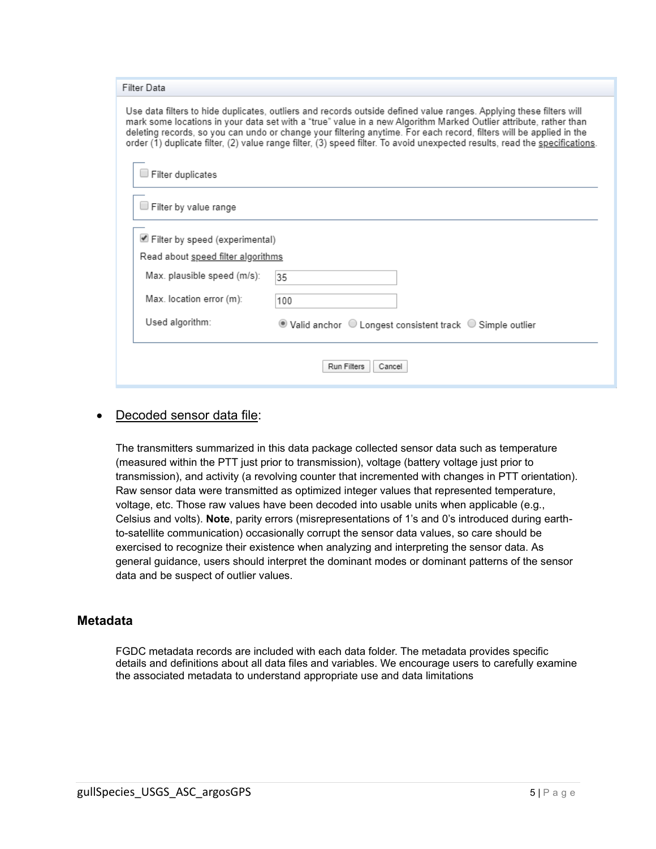| Filter Data                                                                                                                                                                                                                                                                                                                                                                                                                                                                                    |                                                            |  |  |
|------------------------------------------------------------------------------------------------------------------------------------------------------------------------------------------------------------------------------------------------------------------------------------------------------------------------------------------------------------------------------------------------------------------------------------------------------------------------------------------------|------------------------------------------------------------|--|--|
| Use data filters to hide duplicates, outliers and records outside defined value ranges. Applying these filters will<br>mark some locations in your data set with a "true" value in a new Algorithm Marked Outlier attribute, rather than<br>deleting records, so you can undo or change your filtering anytime. For each record, filters will be applied in the<br>order (1) duplicate filter, (2) value range filter, (3) speed filter. To avoid unexpected results, read the specifications. |                                                            |  |  |
| Filter duplicates                                                                                                                                                                                                                                                                                                                                                                                                                                                                              |                                                            |  |  |
| $\exists$ Filter by value range                                                                                                                                                                                                                                                                                                                                                                                                                                                                |                                                            |  |  |
| Filter by speed (experimental)                                                                                                                                                                                                                                                                                                                                                                                                                                                                 |                                                            |  |  |
| Read about speed filter algorithms                                                                                                                                                                                                                                                                                                                                                                                                                                                             |                                                            |  |  |
| Max. plausible speed (m/s):                                                                                                                                                                                                                                                                                                                                                                                                                                                                    | 35                                                         |  |  |
| Max. location error (m):                                                                                                                                                                                                                                                                                                                                                                                                                                                                       | 100                                                        |  |  |
| Used algorithm:                                                                                                                                                                                                                                                                                                                                                                                                                                                                                | ◉ Valid anchor ○ Longest consistent track ○ Simple outlier |  |  |
| Run Filters<br>Cancel                                                                                                                                                                                                                                                                                                                                                                                                                                                                          |                                                            |  |  |

#### Decoded sensor data file:

The transmitters summarized in this data package collected sensor data such as temperature (measured within the PTT just prior to transmission), voltage (battery voltage just prior to transmission), and activity (a revolving counter that incremented with changes in PTT orientation). Raw sensor data were transmitted as optimized integer values that represented temperature, voltage, etc. Those raw values have been decoded into usable units when applicable (e.g., Celsius and volts). **Note**, parity errors (misrepresentations of 1's and 0's introduced during earthto-satellite communication) occasionally corrupt the sensor data values, so care should be exercised to recognize their existence when analyzing and interpreting the sensor data. As general guidance, users should interpret the dominant modes or dominant patterns of the sensor data and be suspect of outlier values.

#### **Metadata**

FGDC metadata records are included with each data folder. The metadata provides specific details and definitions about all data files and variables. We encourage users to carefully examine the associated metadata to understand appropriate use and data limitations